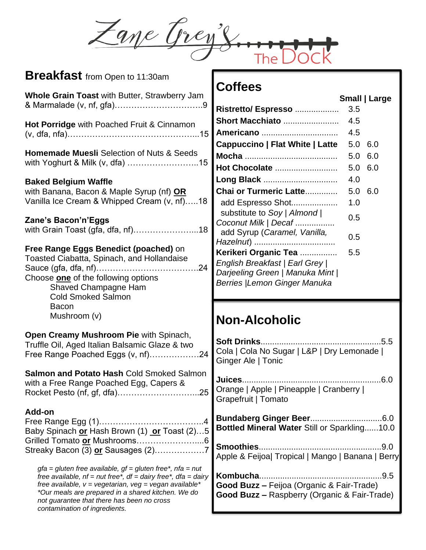Zane Grey's.

| Breakfast from Open to 11:30am                                                                                     | <b>Coffees</b>                                          |
|--------------------------------------------------------------------------------------------------------------------|---------------------------------------------------------|
| Whole Grain Toast with Butter, Strawberry Jam                                                                      |                                                         |
|                                                                                                                    | Small   Large                                           |
|                                                                                                                    | Ristretto/ Espresso<br>3.5                              |
| Hot Porridge with Poached Fruit & Cinnamon                                                                         | Short Macchiato<br>4.5                                  |
|                                                                                                                    | 4.5<br>Americano                                        |
|                                                                                                                    | Cappuccino   Flat White   Latte<br>5.0<br>6.0           |
| <b>Homemade Muesli Selection of Nuts &amp; Seeds</b>                                                               | 6.0<br>5.0                                              |
| with Yoghurt & Milk (v, dfa) 15                                                                                    | Hot Chocolate<br>5.0<br>6.0                             |
| <b>Baked Belgium Waffle</b>                                                                                        | Long Black<br>4.0                                       |
| with Banana, Bacon & Maple Syrup (nf) OR                                                                           | Chai or Turmeric Latte<br>5.0 6.0                       |
| Vanilla Ice Cream & Whipped Cream (v, nf)18                                                                        | add Espresso Shot<br>1.0                                |
|                                                                                                                    | substitute to Soy   Almond                              |
| Zane's Bacon'n'Eggs                                                                                                | 0.5<br>Coconut Milk   Decaf                             |
| with Grain Toast (gfa, dfa, nf)18                                                                                  | add Syrup (Caramel, Vanilla,<br>0.5                     |
|                                                                                                                    |                                                         |
| Free Range Eggs Benedict (poached) on<br>Toasted Ciabatta, Spinach, and Hollandaise                                | 5.5<br>Kerikeri Organic Tea                             |
|                                                                                                                    | English Breakfast   Earl Grey                           |
| Choose <b>one</b> of the following options                                                                         | Darjeeling Green   Manuka Mint                          |
| Shaved Champagne Ham                                                                                               | <b>Berries  Lemon Ginger Manuka</b>                     |
| <b>Cold Smoked Salmon</b>                                                                                          |                                                         |
| <b>Bacon</b>                                                                                                       |                                                         |
| Mushroom (v)                                                                                                       | <b>Non-Alcoholic</b>                                    |
| Open Creamy Mushroom Pie with Spinach,                                                                             |                                                         |
| Truffle Oil, Aged Italian Balsamic Glaze & two                                                                     | Cola   Cola No Sugar   L&P   Dry Lemonade               |
| Free Range Poached Eggs (v, nf)24                                                                                  | Ginger Ale   Tonic                                      |
| <b>Salmon and Potato Hash Cold Smoked Salmon</b>                                                                   |                                                         |
| with a Free Range Poached Egg, Capers &                                                                            | Juices<br>.6.0                                          |
| .25                                                                                                                | Orange   Apple   Pineapple   Cranberry                  |
|                                                                                                                    | Grapefruit   Tomato                                     |
| Add-on                                                                                                             |                                                         |
| $\overline{A}$                                                                                                     | Bottled Mineral Water Still or Sparkling10.0            |
| Baby Spinach or Hash Brown (1) or Toast (2)5                                                                       |                                                         |
|                                                                                                                    |                                                         |
| Streaky Bacon (3) or Sausages (2)7                                                                                 | Apple & Feijoa  Tropical   Mango   Banana   Berry       |
| $gfa = gluten free available, gf = gluten free^*, nfa = nut$                                                       |                                                         |
| free available, $nf = nut$ free*, $df = dairy$ free*, $df = dairy$                                                 |                                                         |
| free available, $v = v$ egetarian, $veg = v$ egan available*<br>*Our meals are prepared in a shared kitchen. We do | Good Buzz - Feijoa (Organic & Fair-Trade)               |
| not guarantee that there has been no cross                                                                         | <b>Good Buzz - Raspberry (Organic &amp; Fair-Trade)</b> |
| contamination of ingredients.                                                                                      |                                                         |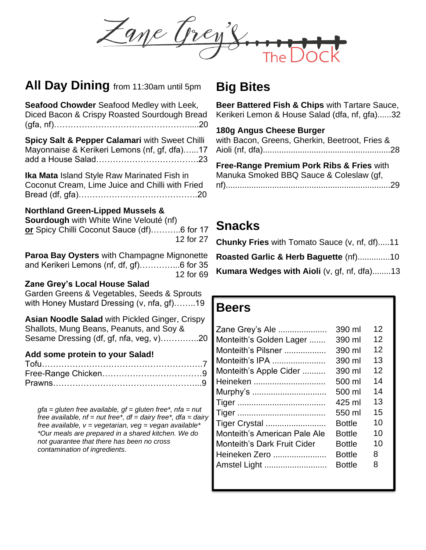Zane Trey's

#### **All Day Dining** from 11:30am until 5pm

| Seafood Chowder Seafood Medley with Leek,<br>Diced Bacon & Crispy Roasted Sourdough Bread                                                        | Е<br>k<br>1                |
|--------------------------------------------------------------------------------------------------------------------------------------------------|----------------------------|
| Spicy Salt & Pepper Calamari with Sweet Chilli<br>Mayonnaise & Kerikeri Lemons (nf, gf, dfa)17                                                   | V<br>А<br>F                |
| <b>Ika Mata Island Style Raw Marinated Fish in</b><br>Coconut Cream, Lime Juice and Chilli with Fried                                            | N<br>n                     |
| <b>Northland Green-Lipped Mussels &amp;</b><br>Sourdough with White Wine Velouté (nf)<br>or Spicy Chilli Coconut Sauce (df)6 for 17<br>12 for 27 | Ś<br>$\mathsf{C}$          |
| Paroa Bay Oysters with Champagne Mignonette<br>and Kerikeri Lemons (nf, df, gf)6 for 35<br>12 for 69                                             | R<br>K                     |
| Zane Grey's Local House Salad<br>Garden Greens & Vegetables, Seeds & Sprouts<br>with Honey Mustard Dressing (v, nfa, gf)19                       | F                          |
| <b>Asian Noodle Salad with Pickled Ginger, Crispy</b><br>Shallots, Mung Beans, Peanuts, and Soy &<br>Sesame Dressing (df, gf, nfa, veg, v)20     | Z<br>N                     |
| Add some protein to your Salad!                                                                                                                  | Ν<br>Ν<br>Λ<br>۲<br>V<br>T |
| $gfa = gluten free available, gf = gluten free*, nfa = nut$<br>free available $nf = n$ ut free* $df = d$ ain free* $df = d$ ain                  | $\mathbf{I}$               |

*free available, nf = nut free\*, df = dairy free\*, dfa = dairy free available, v = vegetarian, veg = vegan available\* \*Our meals are prepared in a shared kitchen. We do not guarantee that there has been no cross contamination of ingredients.*

### **Big Bites**

**Beer Battered Fish & Chips** with Tartare Sauce, Kerikeri Lemon & House Salad (dfa, nf, gfa)......32

#### **180g Angus Cheese Burger**

with Bacon, Greens, Gherkin, Beetroot, Fries & Aioli (nf, dfa).......................................................28

**Free-Range Premium Pork Ribs & Fries** with Manuka Smoked BBQ Sauce & Coleslaw (gf, nf).......................................................................29

## **Snacks**

| <b>Chunky Fries</b> with Tomato Sauce (v, nf, df)11 |  |
|-----------------------------------------------------|--|
| Roasted Garlic & Herb Baguette (nf)10               |  |
| <b>Kumara Wedges with Aioli (v, gf, nf, dfa)13</b>  |  |

#### **Beers**

| Zane Grey's Ale                    | 390 ml        | 12 |
|------------------------------------|---------------|----|
| Monteith's Golden Lager            | 390 ml        | 12 |
| Monteith's Pilsner                 | 390 ml        | 12 |
| Monteith's IPA                     | 390 ml        | 13 |
| Monteith's Apple Cider             | 390 ml        | 12 |
| Heineken                           | 500 ml        | 14 |
| Murphy's                           | 500 ml        | 14 |
|                                    | 425 ml        | 13 |
|                                    | 550 ml        | 15 |
| Tiger Crystal                      | <b>Bottle</b> | 10 |
| Monteith's American Pale Ale       | <b>Bottle</b> | 10 |
| <b>Monteith's Dark Fruit Cider</b> | <b>Bottle</b> | 10 |
| Heineken Zero                      | <b>Bottle</b> | 8  |
| Amstel Light                       | <b>Bottle</b> | 8  |
|                                    |               |    |